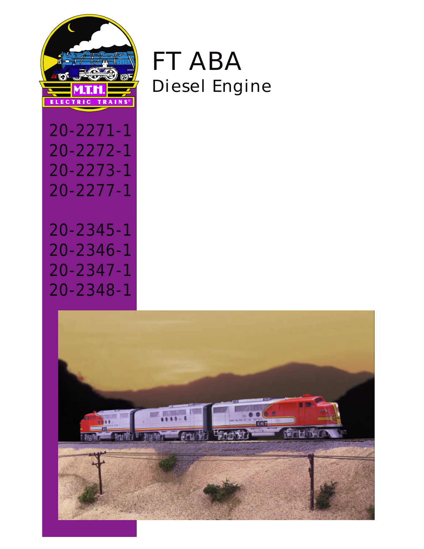

# FT ABA Diesel Engine

20-2271-1 20-2272-1 20-2273-1 20-2277-1

20-2345-1 20-2346-1 20-2347-1 20-2348-1

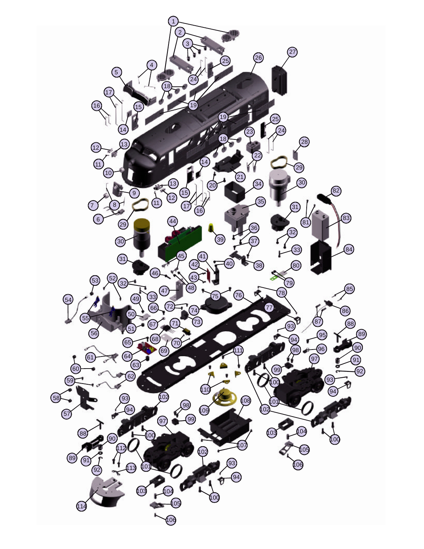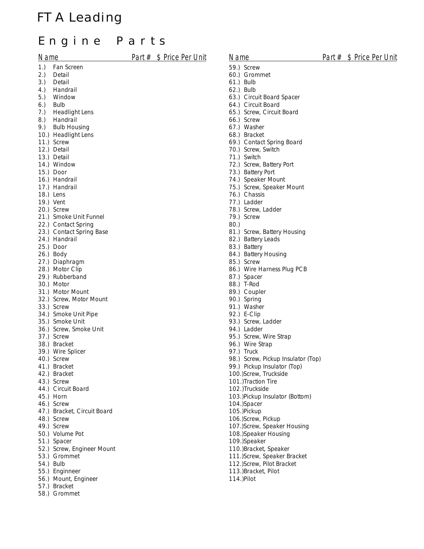## FT A Leading

### Engin e Parts

### Name Part # \$ Price Per Unit 1.) Fan Screen 2.) Detail 3.) Detail 4.) Handrail 5.) Window

- 6.) Bulb
- 7.) Headlight Lens
- 8.) Handrail
- 9.) Bulb Housing
- 10.) Headlight Lens
- 11.) Screw
- 12.) Detail
- 13.) Detail
- 14.) Window
- 15.) Door
- 16.) Handrail
- 17.) Handrail
- 18.) Lens
- 19.) Vent
- 20.) Screw
- 21.) Smoke Unit Funnel
- 22.) Contact Spring
- 23.) Contact Spring Base
- 24.) Handrail
- 25.) Door
- 26.) Body
- 27.) Diaphragm
- 28.) Motor Clip
- 29.) Rubberband
- 30.) Motor
- 31.) Motor Mount
- 32.) Screw, Motor Mount
- 33.) Screw
- 34.) Smoke Unit Pipe
- 35.) Smoke Unit
- 36.) Screw, Smoke Unit
- 37.) Screw
- 38.) Bracket
- 39.) Wire Splicer
- 40.) Screw
- 41.) Bracket
- 42.) Bracket
- 43.) Screw
- 44.) Circuit Board
- 45.) Horn
- 46.) Screw
- 47.) Bracket, Circuit Board
- 48.) Screw
- 49.) Screw
- 50.) Volume Pot
- 51.) Spacer
- 52.) Screw, Engineer Mount
- 53.) Grommet
- 54.) Bulb
- 55.) Enginneer
- 56.) Mount, Engineer
- 57.) Bracket
- 58.) Grommet
- Name Part # \$ Price Per Unit
- 59.) Screw
- 60.) Grommet
- 61.) Bulb
- 62.) Bulb
- 63.) Circuit Board Spacer
- 64.) Circuit Board
- 65.) Screw, Circuit Board
- 66.) Screw
- 67.) Washer
- 68.) Bracket
- 69.) Contact Spring Board
- 70.) Screw, Switch
- 71.) Switch
- 72.) Screw, Battery Port
- 73.) Battery Port
- 74.) Speaker Mount
- 75.) Screw, Speaker Mount
- 76.) Chassis
- 77.) Ladder
- 78.) Screw, Ladder
- 79.) Screw
- 80.)
- 81.) Screw, Battery Housing
- 82.) Battery Leads
- 83.) Battery
- 84.) Battery Housing
- 85.) Screw
- 86.) Wire Harness Plug PCB
- 87.) Spacer
- 88.) T-Rod
- 89.) Coupler
- 90.) Spring
- 91.) Washer
- 92.) E-Clip
- 93.) Screw, Ladder
- 94.) Ladder
- 95.) Screw, Wire Strap
- 96.) Wire Strap
- 97.) Truck
- 98.) Screw, Pickup Insulator (Top)

103.)Pickup Insulator (Bottom)

107.)Screw, Speaker Housing 108.)Speaker Housing

- 99.) Pickup Insulator (Top)
- 100.)Screw, Truckside
- 101.)Traction Tire 102.)Truckside

104.)Spacer 105.)Pickup 106.)Screw, Pickup

109.)Speaker

114.)Pilot

110.)Bracket, Speaker 111.)Screw, Speaker Bracket 112.)Screw, Pilot Bracket 113.)Bracket, Pilot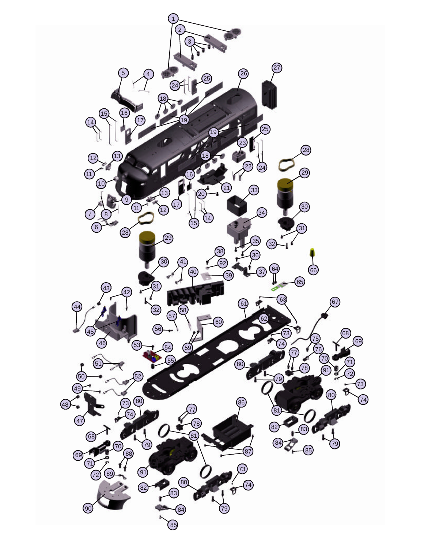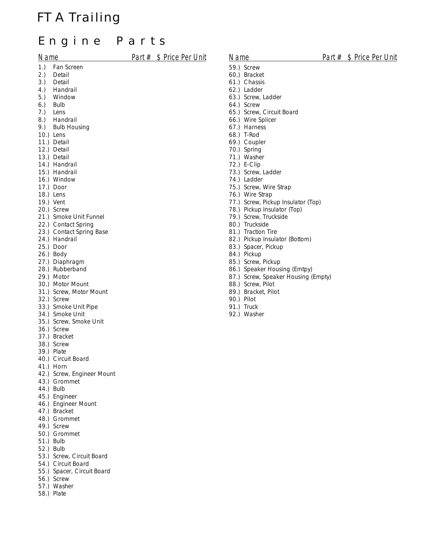## FT A Trailing

### Engin e Parts

### Name Part # \$ Price Per Unit 1.) Fan Screen 2.) Detail 3.) Detail 4.) Handrail 5.) Window 6.) Bulb 7.) Lens 8.) Handrail 9.) Bulb Housing 10.) Lens 11.) Detail

- 12.) Detail
- 13.) Detail
- 14.) Handrail
- 15.) Handrail
- 16.) Window
- 17.) Door
- 18.) Lens
- 19.) Vent
- 20.) Screw
- 21.) Smoke Unit Funnel
- 22.) Contact Spring
- 23.) Contact Spring Base
- 24.) Handrail
- 25.) Door
- 26.) Body
- 27.) Diaphragm
- 28.) Rubberband
- 29.) Motor
- 30.) Motor Mount
- 31.) Screw, Motor Mount
- 32.) Screw
- 33.) Smoke Unit Pipe
- 34.) Smoke Unit
- 35.) Screw, Smoke Unit
- 36.) Screw
- 37.) Bracket
- 38.) Screw
- 39.) Plate
- 40.) Circuit Board
- 41.) Horn
- 42.) Screw, Engineer Mount
- 43.) Grommet
- 44.) Bulb
- 45.) Engineer
- 46.) Engineer Mount
- 47.) Bracket
- 48.) Grommet
- 49.) Screw
- 50.) Grommet
- 51.) Bulb
- 52.) Bulb
- 53.) Screw, Circuit Board
- 54.) Circuit Board
- 55.) Spacer, Circuit Board
- 56.) Screw
- 57.) Washer
- 58.) Plate

- Name Part # \$ Price Per Unit
- 59.) Screw
- 60.) Bracket
- 61.) Chassis
- 62.) Ladder
- 63.) Screw, Ladder
- 64.) Screw
- 65.) Screw, Circuit Board
- 66.) Wire Splicer
- 67.) Harness
- 68.) T-Rod
- 69.) Coupler
- 70.) Spring
- 71.) Washer
- 72.) E-Clip
- 73.) Screw, Ladder
- 74.) Ladder
- 75.) Screw, Wire Strap
- 76.) Wire Strap
- 77.) Screw, Pickup Insulator (Top)
- 78.) Pickup Insulator (Top)
- 79.) Screw, Truckside
- 80.) Truckside
- 81.) Traction Tire
- 82.) Pickup Insulator (Bottom)
- 83.) Spacer, Pickup
- 84.) Pickup
- 85.) Screw, Pickup
- 86.) Speaker Housing (Emtpy)
- 87.) Screw, Speaker Housing (Empty)
- 88.) Screw, Pilot
- 89.) Bracket, Pilot
- 90.) Pilot
- 91.) Truck
- 92.) Washer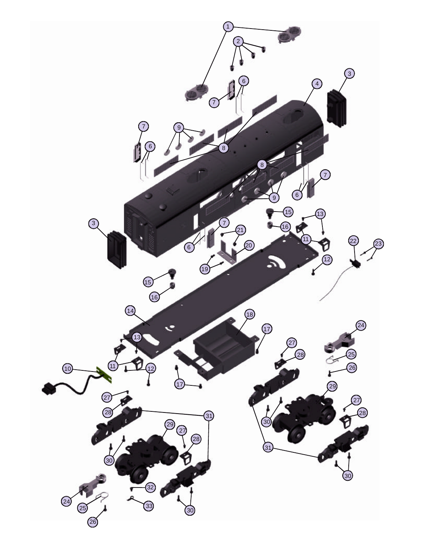